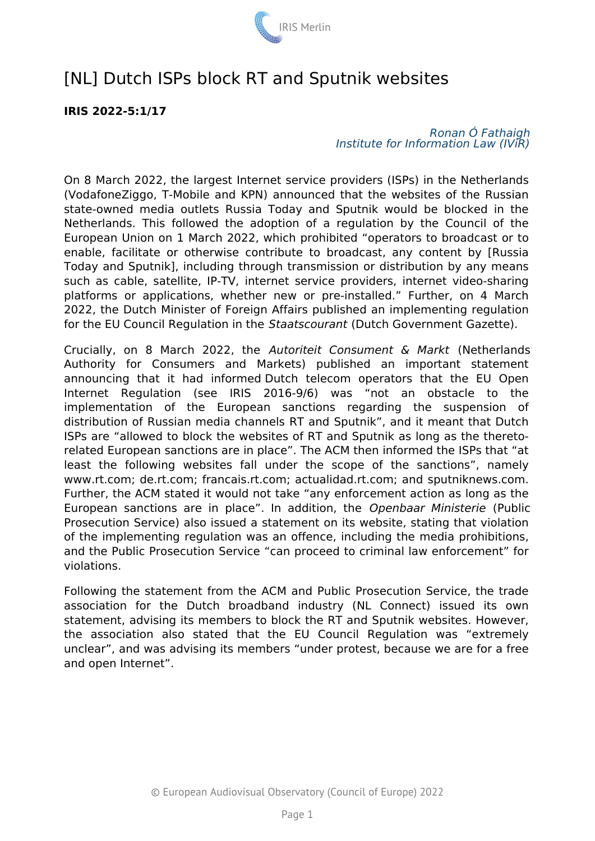

# [NL] Dutch ISPs block RT and Sputnik websites

## **IRIS 2022-5:1/17**

## *Ronan Ó Fathaigh Institute for Information Law (IViR)*

On 8 March 2022, the largest Internet service providers (ISPs) in the Netherlands (VodafoneZiggo, T-Mobile and KPN) announced that the websites of the Russian state-owned media outlets Russia Today and Sputnik would be blocked in the Netherlands. This followed the adoption of a regulation by the Council of the European Union on 1 March 2022, which prohibited "operators to broadcast or to enable, facilitate or otherwise contribute to broadcast, any content by [Russia Today and Sputnik], including through transmission or distribution by any means such as cable, satellite, IP-TV, internet service providers, internet video-sharing platforms or applications, whether new or pre-installed." Further, on 4 March 2022, the Dutch Minister of Foreign Affairs published an implementing regulation for the EU Council Regulation in the *Staatscourant* (Dutch Government Gazette).

Crucially, on 8 March 2022, the *Autoriteit Consument & Markt* (Netherlands Authority for Consumers and Markets) published an important statement announcing that it had informed Dutch telecom operators that the EU Open Internet Regulation (see IRIS 2016-9/6) was "not an obstacle to the implementation of the European sanctions regarding the suspension of distribution of Russian media channels RT and Sputnik", and it meant that Dutch ISPs are "allowed to block the websites of RT and Sputnik as long as the theretorelated European sanctions are in place". The ACM then informed the ISPs that "at least the following websites fall under the scope of the sanctions", namely www.rt.com; de.rt.com; francais.rt.com; actualidad.rt.com; and sputniknews.com. Further, the ACM stated it would not take "any enforcement action as long as the European sanctions are in place". In addition, the *Openbaar Ministerie* (Public Prosecution Service) also issued a statement on its website, stating that violation of the implementing regulation was an offence, including the media prohibitions, and the Public Prosecution Service "can proceed to criminal law enforcement" for violations.

Following the statement from the ACM and Public Prosecution Service, the trade association for the Dutch broadband industry (NL Connect) issued its own statement, advising its members to block the RT and Sputnik websites. However, the association also stated that the EU Council Regulation was "extremely unclear", and was advising its members "under protest, because we are for a free and open Internet".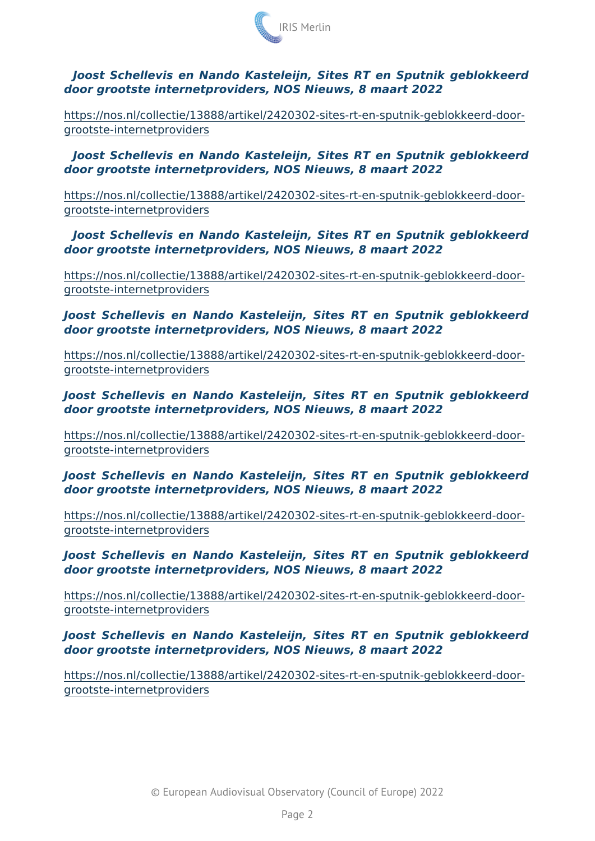Joost Schellevis en Nando Kasteleijn, Sites RT en Sputnik ge door grootste internetproviders, NOS Nieuws, 8 maart 2022

[https://nos.nl/collectie/13888/artikel/2420302-sites-rt-en-s](https://nos.nl/collectie/13888/artikel/2420302-sites-rt-en-sputnik-geblokkeerd-door-grootste-internetproviders)putnik-ge [grootste-internetpr](https://nos.nl/collectie/13888/artikel/2420302-sites-rt-en-sputnik-geblokkeerd-door-grootste-internetproviders)oviders

Joost Schellevis en Nando Kasteleijn, Sites RT en Sputnik ge door grootste internetproviders, NOS Nieuws, 8 maart 2022

[https://nos.nl/collectie/13888/artikel/2420302-sites-rt-en-s](https://nos.nl/collectie/13888/artikel/2420302-sites-rt-en-sputnik-geblokkeerd-door-grootste-internetproviders)putnik-ge [grootste-internetpr](https://nos.nl/collectie/13888/artikel/2420302-sites-rt-en-sputnik-geblokkeerd-door-grootste-internetproviders)oviders

Joost Schellevis en Nando Kasteleijn, Sites RT en Sputnik ge door grootste internetproviders, NOS Nieuws, 8 maart 2022

[https://nos.nl/collectie/13888/artikel/2420302-sites-rt-en-s](https://nos.nl/collectie/13888/artikel/2420302-sites-rt-en-sputnik-geblokkeerd-door-grootste-internetproviders)putnik-ge [grootste-internetpr](https://nos.nl/collectie/13888/artikel/2420302-sites-rt-en-sputnik-geblokkeerd-door-grootste-internetproviders)oviders

Joost Schellevis en Nando Kasteleijn, Sites RT en Sputnik ge door grootste internetproviders, NOS Nieuws, 8 maart 2022

[https://nos.nl/collectie/13888/artikel/2420302-sites-rt-en-s](https://nos.nl/collectie/13888/artikel/2420302-sites-rt-en-sputnik-geblokkeerd-door-grootste-internetproviders)putnik-ge [grootste-internetpr](https://nos.nl/collectie/13888/artikel/2420302-sites-rt-en-sputnik-geblokkeerd-door-grootste-internetproviders)oviders

Joost Schellevis en Nando Kasteleijn, Sites RT en Sputnik ge door grootste internetproviders, NOS Nieuws, 8 maart 2022

[https://nos.nl/collectie/13888/artikel/2420302-sites-rt-en-s](https://nos.nl/collectie/13888/artikel/2420302-sites-rt-en-sputnik-geblokkeerd-door-grootste-internetproviders)putnik-ge [grootste-internetpr](https://nos.nl/collectie/13888/artikel/2420302-sites-rt-en-sputnik-geblokkeerd-door-grootste-internetproviders)oviders

Joost Schellevis en Nando Kasteleijn, Sites RT en Sputnik ge door grootste internetproviders, NOS Nieuws, 8 maart 2022

[https://nos.nl/collectie/13888/artikel/2420302-sites-rt-en-s](https://nos.nl/collectie/13888/artikel/2420302-sites-rt-en-sputnik-geblokkeerd-door-grootste-internetproviders)putnik-ge [grootste-internetpr](https://nos.nl/collectie/13888/artikel/2420302-sites-rt-en-sputnik-geblokkeerd-door-grootste-internetproviders)oviders

Joost Schellevis en Nando Kasteleijn, Sites RT en Sputnik ge door grootste internetproviders, NOS Nieuws, 8 maart 2022

[https://nos.nl/collectie/13888/artikel/2420302-sites-rt-en-s](https://nos.nl/collectie/13888/artikel/2420302-sites-rt-en-sputnik-geblokkeerd-door-grootste-internetproviders)putnik-ge [grootste-internetpr](https://nos.nl/collectie/13888/artikel/2420302-sites-rt-en-sputnik-geblokkeerd-door-grootste-internetproviders)oviders

Joost Schellevis en Nando Kasteleijn, Sites RT en Sputnik ge door grootste internetproviders, NOS Nieuws, 8 maart 2022

[https://nos.nl/collectie/13888/artikel/2420302-sites-rt-en-s](https://nos.nl/collectie/13888/artikel/2420302-sites-rt-en-sputnik-geblokkeerd-door-grootste-internetproviders)putnik-ge [grootste-internetpr](https://nos.nl/collectie/13888/artikel/2420302-sites-rt-en-sputnik-geblokkeerd-door-grootste-internetproviders)oviders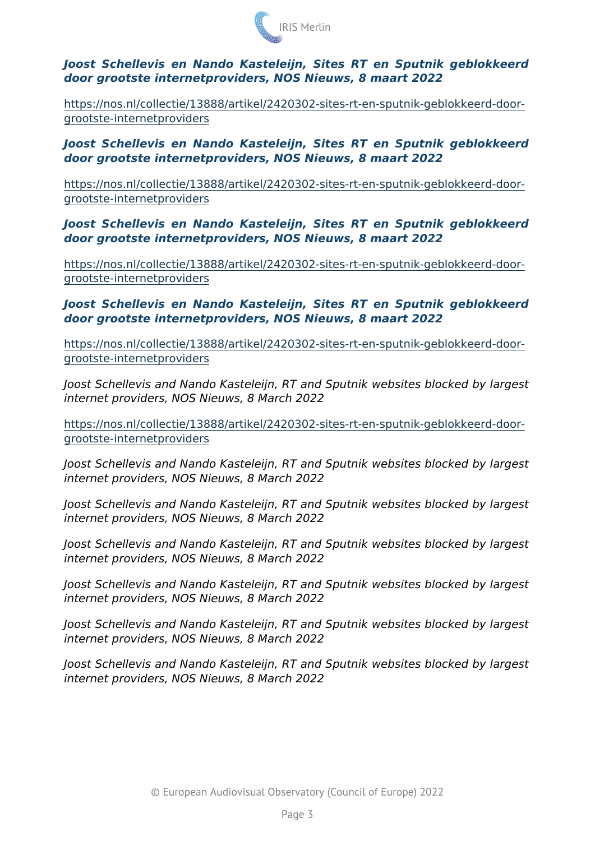Joost Schellevis en Nando Kasteleijn, Sites RT en Sputnik ge door grootste internetproviders, NOS Nieuws, 8 maart 2022

[https://nos.nl/collectie/13888/artikel/2420302-sites-rt-en-s](https://nos.nl/collectie/13888/artikel/2420302-sites-rt-en-sputnik-geblokkeerd-door-grootste-internetproviders)putnik-ge [grootste-internetpr](https://nos.nl/collectie/13888/artikel/2420302-sites-rt-en-sputnik-geblokkeerd-door-grootste-internetproviders)oviders

Joost Schellevis en Nando Kasteleijn, Sites RT en Sputnik ge door grootste internetproviders, NOS Nieuws, 8 maart 2022

[https://nos.nl/collectie/13888/artikel/2420302-sites-rt-en-s](https://nos.nl/collectie/13888/artikel/2420302-sites-rt-en-sputnik-geblokkeerd-door-grootste-internetproviders)putnik-ge [grootste-internetpr](https://nos.nl/collectie/13888/artikel/2420302-sites-rt-en-sputnik-geblokkeerd-door-grootste-internetproviders)oviders

Joost Schellevis en Nando Kasteleijn, Sites RT en Sputnik ge door grootste internetproviders, NOS Nieuws, 8 maart 2022

[https://nos.nl/collectie/13888/artikel/2420302-sites-rt-en-s](https://nos.nl/collectie/13888/artikel/2420302-sites-rt-en-sputnik-geblokkeerd-door-grootste-internetproviders)putnik-ge [grootste-internetpr](https://nos.nl/collectie/13888/artikel/2420302-sites-rt-en-sputnik-geblokkeerd-door-grootste-internetproviders)oviders

Joost Schellevis en Nando Kasteleijn, Sites RT en Sputnik ge door grootste internetproviders, NOS Nieuws, 8 maart 2022

[https://nos.nl/collectie/13888/artikel/2420302-sites-rt-en-s](https://nos.nl/collectie/13888/artikel/2420302-sites-rt-en-sputnik-geblokkeerd-door-grootste-internetproviders)putnik-ge [grootste-internetpr](https://nos.nl/collectie/13888/artikel/2420302-sites-rt-en-sputnik-geblokkeerd-door-grootste-internetproviders)oviders

Joost Schellevis and Nando Kasteleijn, RT and Sputnik websites b internet providers, NOS Nieuws, 8 March 2022

[https://nos.nl/collectie/13888/artikel/2420302-sites-rt-en-s](https://nos.nl/collectie/13888/artikel/2420302-sites-rt-en-sputnik-geblokkeerd-door-grootste-internetproviders)putnik-ge [grootste-internetpr](https://nos.nl/collectie/13888/artikel/2420302-sites-rt-en-sputnik-geblokkeerd-door-grootste-internetproviders)oviders

Joost Schellevis and Nando Kasteleijn, RT and Sputnik websites b internet providers, NOS Nieuws, 8 March 2022

Joost Schellevis and Nando Kasteleijn, RT and Sputnik websites b internet providers, NOS Nieuws, 8 March 2022

Joost Schellevis and Nando Kasteleijn, RT and Sputnik websites b internet providers, NOS Nieuws, 8 March 2022

Joost Schellevis and Nando Kasteleijn, RT and Sputnik websites b internet providers, NOS Nieuws, 8 March 2022

Joost Schellevis and Nando Kasteleijn, RT and Sputnik websites b internet providers, NOS Nieuws, 8 March 2022

Joost Schellevis and Nando Kasteleijn, RT and Sputnik websites b internet providers, NOS Nieuws, 8 March 2022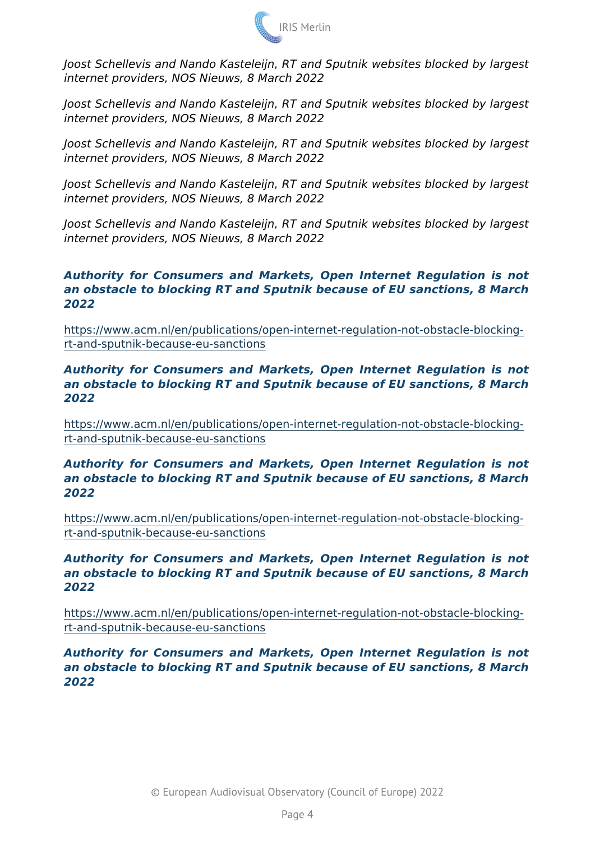Joost Schellevis and Nando Kasteleijn, RT and Sputnik websites b internet providers, NOS Nieuws, 8 March 2022

Joost Schellevis and Nando Kasteleijn, RT and Sputnik websites b internet providers, NOS Nieuws, 8 March 2022

Joost Schellevis and Nando Kasteleijn, RT and Sputnik websites b internet providers, NOS Nieuws, 8 March 2022

Joost Schellevis and Nando Kasteleijn, RT and Sputnik websites b internet providers, NOS Nieuws, 8 March 2022

Joost Schellevis and Nando Kasteleijn, RT and Sputnik websites b internet providers, NOS Nieuws, 8 March 2022

Authority for Consumers and Markets, Open Internet Regulation an obstacle to blocking RT and Sputnik because of EU sanctions, 2022

[https://www.acm.nl/en/publications/open-internet-regulatio](https://www.acm.nl/en/publications/open-internet-regulation-not-obstacle-blocking-rt-and-sputnik-because-eu-sanctions)n-not-obs [rt-and-sputnik-because-eu](https://www.acm.nl/en/publications/open-internet-regulation-not-obstacle-blocking-rt-and-sputnik-because-eu-sanctions)-sanctions

Authority for Consumers and Markets, Open Internet Regulation an obstacle to blocking RT and Sputnik because of EU sanctions, 2022

[https://www.acm.nl/en/publications/open-internet-regulatio](https://www.acm.nl/en/publications/open-internet-regulation-not-obstacle-blocking-rt-and-sputnik-because-eu-sanctions)n-not-obs [rt-and-sputnik-because-eu](https://www.acm.nl/en/publications/open-internet-regulation-not-obstacle-blocking-rt-and-sputnik-because-eu-sanctions)-sanctions

Authority for Consumers and Markets, Open Internet Regulation an obstacle to blocking RT and Sputnik because of EU sanctions, 2022

[https://www.acm.nl/en/publications/open-internet-regulatio](https://www.acm.nl/en/publications/open-internet-regulation-not-obstacle-blocking-rt-and-sputnik-because-eu-sanctions)n-not-obstacle[rt-and-sputnik-because-eu](https://www.acm.nl/en/publications/open-internet-regulation-not-obstacle-blocking-rt-and-sputnik-because-eu-sanctions)-sanctions

Authority for Consumers and Markets, Open Internet Regulation an obstacle to blocking RT and Sputnik because of EU sanctions, 2022

[https://www.acm.nl/en/publications/open-internet-regulatio](https://www.acm.nl/en/publications/open-internet-regulation-not-obstacle-blocking-rt-and-sputnik-because-eu-sanctions)n-not-obs [rt-and-sputnik-because-eu](https://www.acm.nl/en/publications/open-internet-regulation-not-obstacle-blocking-rt-and-sputnik-because-eu-sanctions)-sanctions

Authority for Consumers and Markets, Open Internet Regulation an obstacle to blocking RT and Sputnik because of EU sanctions, 2022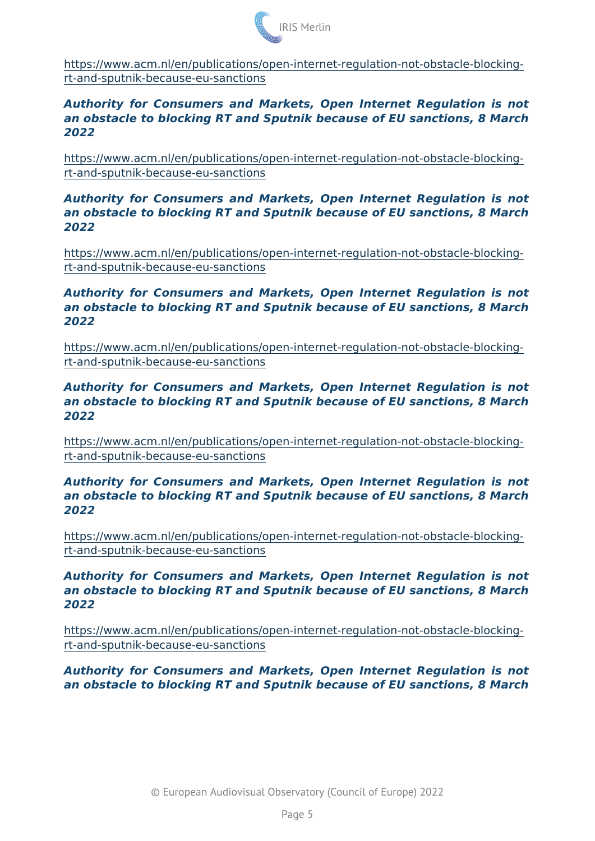[https://www.acm.nl/en/publications/open-internet-regulatio](https://www.acm.nl/en/publications/open-internet-regulation-not-obstacle-blocking-rt-and-sputnik-because-eu-sanctions)n-not-obstacle[rt-and-sputnik-because-eu](https://www.acm.nl/en/publications/open-internet-regulation-not-obstacle-blocking-rt-and-sputnik-because-eu-sanctions)-sanctions

Authority for Consumers and Markets, Open Internet Regulation an obstacle to blocking RT and Sputnik because of EU sanctions. 2022

[https://www.acm.nl/en/publications/open-internet-regulatio](https://www.acm.nl/en/publications/open-internet-regulation-not-obstacle-blocking-rt-and-sputnik-because-eu-sanctions)n-not-obstacle[rt-and-sputnik-because-eu](https://www.acm.nl/en/publications/open-internet-regulation-not-obstacle-blocking-rt-and-sputnik-because-eu-sanctions)-sanctions

Authority for Consumers and Markets, Open Internet Regulation an obstacle to blocking RT and Sputnik because of EU sanctions, 2022

[https://www.acm.nl/en/publications/open-internet-regulatio](https://www.acm.nl/en/publications/open-internet-regulation-not-obstacle-blocking-rt-and-sputnik-because-eu-sanctions)n-not-obs [rt-and-sputnik-because-eu](https://www.acm.nl/en/publications/open-internet-regulation-not-obstacle-blocking-rt-and-sputnik-because-eu-sanctions)-sanctions

Authority for Consumers and Markets, Open Internet Regulation an obstacle to blocking RT and Sputnik because of EU sanctions, 2022

[https://www.acm.nl/en/publications/open-internet-regulatio](https://www.acm.nl/en/publications/open-internet-regulation-not-obstacle-blocking-rt-and-sputnik-because-eu-sanctions)n-not-obstacle[rt-and-sputnik-because-eu](https://www.acm.nl/en/publications/open-internet-regulation-not-obstacle-blocking-rt-and-sputnik-because-eu-sanctions)-sanctions

Authority for Consumers and Markets, Open Internet Regulation an obstacle to blocking RT and Sputnik because of EU sanctions, 2022

[https://www.acm.nl/en/publications/open-internet-regulatio](https://www.acm.nl/en/publications/open-internet-regulation-not-obstacle-blocking-rt-and-sputnik-because-eu-sanctions)n-not-obstacle[rt-and-sputnik-because-eu](https://www.acm.nl/en/publications/open-internet-regulation-not-obstacle-blocking-rt-and-sputnik-because-eu-sanctions)-sanctions

Authority for Consumers and Markets, Open Internet Regulation an obstacle to blocking RT and Sputnik because of EU sanctions, 2022

[https://www.acm.nl/en/publications/open-internet-regulatio](https://www.acm.nl/en/publications/open-internet-regulation-not-obstacle-blocking-rt-and-sputnik-because-eu-sanctions)n-not-obstacle[rt-and-sputnik-because-eu](https://www.acm.nl/en/publications/open-internet-regulation-not-obstacle-blocking-rt-and-sputnik-because-eu-sanctions)-sanctions

Authority for Consumers and Markets, Open Internet Regulation an obstacle to blocking RT and Sputnik because of EU sanctions, 2022

[https://www.acm.nl/en/publications/open-internet-regulatio](https://www.acm.nl/en/publications/open-internet-regulation-not-obstacle-blocking-rt-and-sputnik-because-eu-sanctions)n-not-obstacle[rt-and-sputnik-because-eu](https://www.acm.nl/en/publications/open-internet-regulation-not-obstacle-blocking-rt-and-sputnik-because-eu-sanctions)-sanctions

Authority for Consumers and Markets, Open Internet Regulation an obstacle to blocking RT and Sputnik because of EU sanctions,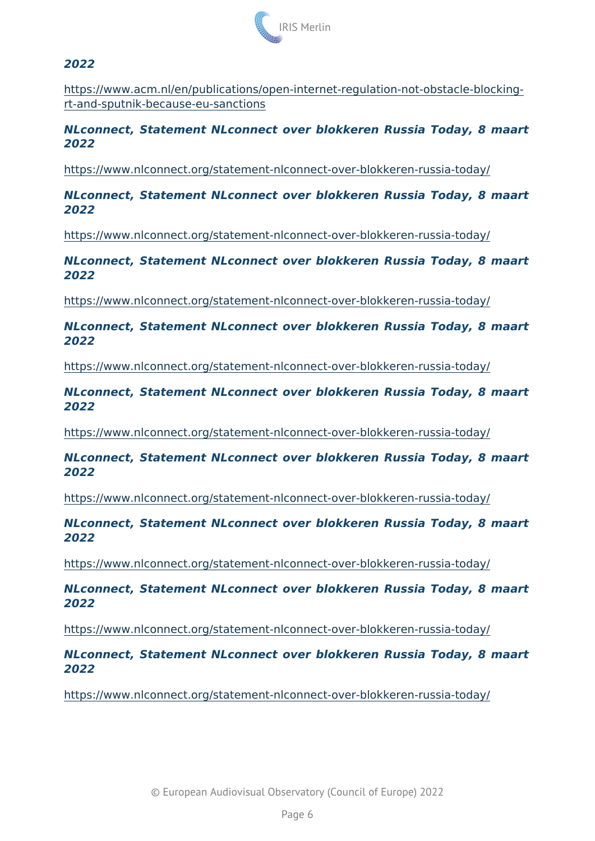2022

[https://www.acm.nl/en/publications/open-internet-regulatio](https://www.acm.nl/en/publications/open-internet-regulation-not-obstacle-blocking-rt-and-sputnik-because-eu-sanctions)n-not-obstacle[rt-and-sputnik-because-eu](https://www.acm.nl/en/publications/open-internet-regulation-not-obstacle-blocking-rt-and-sputnik-because-eu-sanctions)-sanctions

NLconnect, Statement NLconnect over blokkeren Russia Today, 2022

[https://www.nlconnect.org/statement-nlconnect-over-bl](https://www.nlconnect.org/statement-nlconnect-over-blokkeren-russia-today/)okkeren-russi

NLconnect, Statement NLconnect over blokkeren Russia Today, 8 2022

[https://www.nlconnect.org/statement-nlconnect-over-bl](https://www.nlconnect.org/statement-nlconnect-over-blokkeren-russia-today/)okkeren-russ

NLconnect, Statement NLconnect over blokkeren Russia Today, 8 2022

[https://www.nlconnect.org/statement-nlconnect-over-bl](https://www.nlconnect.org/statement-nlconnect-over-blokkeren-russia-today/)okkeren-russi

NLconnect, Statement NLconnect over blokkeren Russia Today, 8 2022

[https://www.nlconnect.org/statement-nlconnect-over-bl](https://www.nlconnect.org/statement-nlconnect-over-blokkeren-russia-today/)okkeren-russi

NLconnect, Statement NLconnect over blokkeren Russia Today, 8 2022

[https://www.nlconnect.org/statement-nlconnect-over-bl](https://www.nlconnect.org/statement-nlconnect-over-blokkeren-russia-today/)okkeren-russi

NLconnect, Statement NLconnect over blokkeren Russia Today, 2022

[https://www.nlconnect.org/statement-nlconnect-over-bl](https://www.nlconnect.org/statement-nlconnect-over-blokkeren-russia-today/)okkeren-russi

NLconnect, Statement NLconnect over blokkeren Russia Today, 8 2022

[https://www.nlconnect.org/statement-nlconnect-over-bl](https://www.nlconnect.org/statement-nlconnect-over-blokkeren-russia-today/)okkeren-russi

NLconnect, Statement NLconnect over blokkeren Russia Today, 8 2022

[https://www.nlconnect.org/statement-nlconnect-over-bl](https://www.nlconnect.org/statement-nlconnect-over-blokkeren-russia-today/)okkeren-russ

NLconnect, Statement NLconnect over blokkeren Russia Today, 8 2022

[https://www.nlconnect.org/statement-nlconnect-over-bl](https://www.nlconnect.org/statement-nlconnect-over-blokkeren-russia-today/)okkeren-russi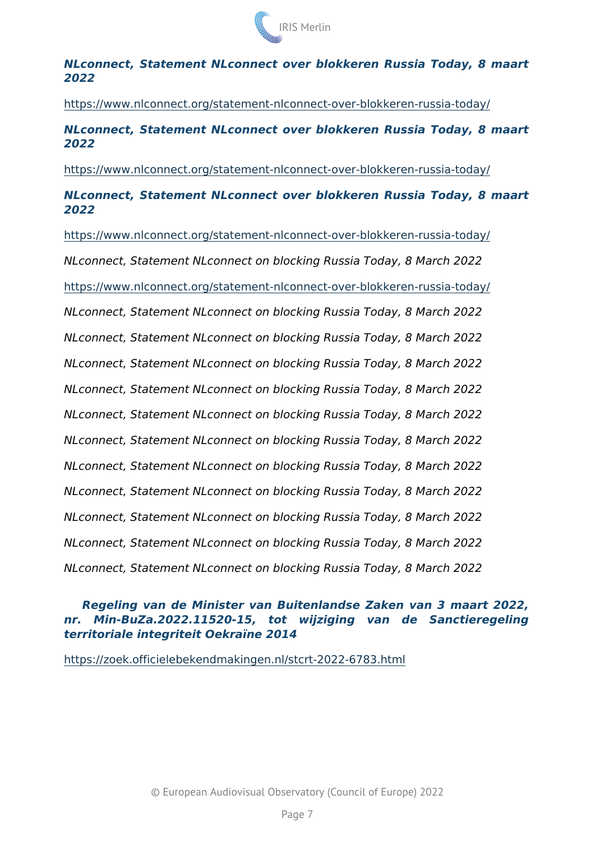NLconnect, Statement NLconnect over blokkeren Russia Today, 8 2022

[https://www.nlconnect.org/statement-nlconnect-over-bl](https://www.nlconnect.org/statement-nlconnect-over-blokkeren-russia-today/)okkeren-russ NLconnect, Statement NLconnect over blokkeren Russia Today, 2022

[https://www.nlconnect.org/statement-nlconnect-over-bl](https://www.nlconnect.org/statement-nlconnect-over-blokkeren-russia-today/)okkeren-russi NLconnect, Statement NLconnect over blokkeren Russia Today, 8 2022

[https://www.nlconnect.org/statement-nlconnect-over-bl](https://www.nlconnect.org/statement-nlconnect-over-blokkeren-russia-today/)okkeren-russ NLconnect, Statement NLconnect on blocking Russia Today, 8 Mar [https://www.nlconnect.org/statement-nlconnect-over-bl](https://www.nlconnect.org/statement-nlconnect-over-blokkeren-russia-today/)okkeren-russ NLconnect, Statement NLconnect on blocking Russia Today, 8 Mar NLconnect, Statement NLconnect on blocking Russia Today, 8 Mar NLconnect, Statement NLconnect on blocking Russia Today, 8 Mar NLconnect, Statement NLconnect on blocking Russia Today, 8 Mar NLconnect, Statement NLconnect on blocking Russia Today, 8 Mar NLconnect, Statement NLconnect on blocking Russia Today, 8 Mar NLconnect, Statement NLconnect on blocking Russia Today, 8 Mar NLconnect, Statement NLconnect on blocking Russia Today, 8 Mar NLconnect, Statement NLconnect on blocking Russia Today, 8 Mar NLconnect, Statement NLconnect on blocking Russia Today, 8 Mar NLconnect, Statement NLconnect on blocking Russia Today, 8 Mar

Regeling van de Minister van Buitenlandse Zaken van 3 maart nr. Min-BuZa.2022.11520-15, tot wijziging van de Sand territoriale integriteit Oekraïne 2014

[https://zoek.officielebekendmakingen.nl/stc](https://zoek.officielebekendmakingen.nl/stcrt-2022-6783.html)rt-2022-6783.html

© European Audiovisual Observatory (Council of Europe) 2022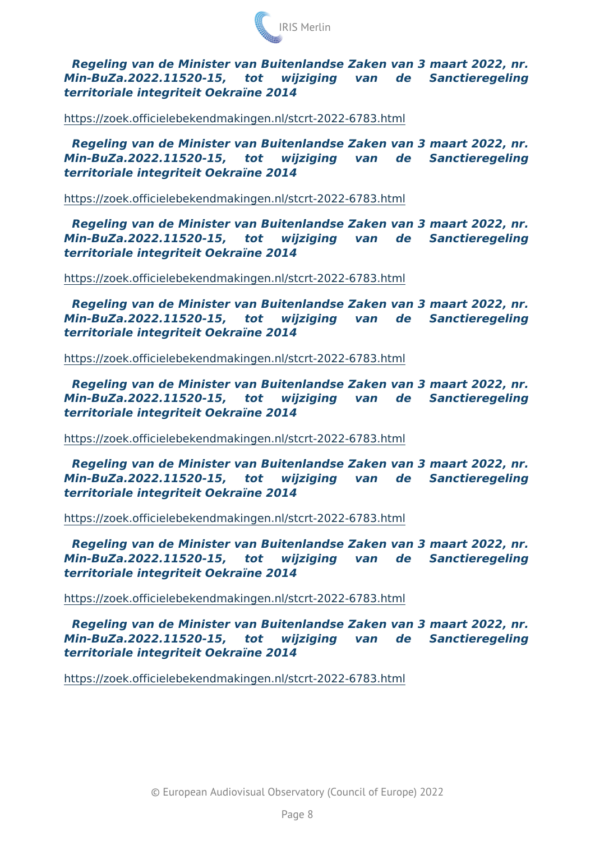Regeling van de Minister van Buitenlandse Zaken van 3 maart 20 Min-BuZa.2022.11520-15, tot wijziging van de Sa territoriale integriteit Oekraïne 2014

#### [https://zoek.officielebekendmakingen.nl/stc](https://zoek.officielebekendmakingen.nl/stcrt-2022-6783.html)rt-2022-6783.html

Regeling van de Minister van Buitenlandse Zaken van 3 maart 20 Min-BuZa.2022.11520-15, tot wijziging van de Sa territoriale integriteit Oekraïne 2014

#### [https://zoek.officielebekendmakingen.nl/stc](https://zoek.officielebekendmakingen.nl/stcrt-2022-6783.html)rt-2022-6783.html

Regeling van de Minister van Buitenlandse Zaken van 3 maart 20 Min-BuZa.2022.11520-15, tot wijziging van de Sa territoriale integriteit Oekraïne 2014

#### [https://zoek.officielebekendmakingen.nl/stc](https://zoek.officielebekendmakingen.nl/stcrt-2022-6783.html)rt-2022-6783.html

Regeling van de Minister van Buitenlandse Zaken van 3 maart 20 Min-BuZa.2022.11520-15, tot wijziging van de Sa territoriale integriteit Oekraïne 2014

#### [https://zoek.officielebekendmakingen.nl/stc](https://zoek.officielebekendmakingen.nl/stcrt-2022-6783.html)rt-2022-6783.html

Regeling van de Minister van Buitenlandse Zaken van 3 maart 20 Min-BuZa.2022.11520-15, tot wijziging van de Sa territoriale integriteit Oekraïne 2014

#### [https://zoek.officielebekendmakingen.nl/stc](https://zoek.officielebekendmakingen.nl/stcrt-2022-6783.html)rt-2022-6783.html

Regeling van de Minister van Buitenlandse Zaken van 3 maart 20 Min-BuZa.2022.11520-15, tot wijziging van de Sa territoriale integriteit Oekraïne 2014

#### [https://zoek.officielebekendmakingen.nl/stc](https://zoek.officielebekendmakingen.nl/stcrt-2022-6783.html)rt-2022-6783.html

Regeling van de Minister van Buitenlandse Zaken van 3 maart 20 Min-BuZa.2022.11520-15, tot wijziging van de Sa territoriale integriteit Oekraïne 2014

#### [https://zoek.officielebekendmakingen.nl/stc](https://zoek.officielebekendmakingen.nl/stcrt-2022-6783.html)rt-2022-6783.html

Regeling van de Minister van Buitenlandse Zaken van 3 maart 20 Min-BuZa.2022.11520-15, tot wijziging van de Sa territoriale integriteit Oekraïne 2014

#### [https://zoek.officielebekendmakingen.nl/stc](https://zoek.officielebekendmakingen.nl/stcrt-2022-6783.html)rt-2022-6783.html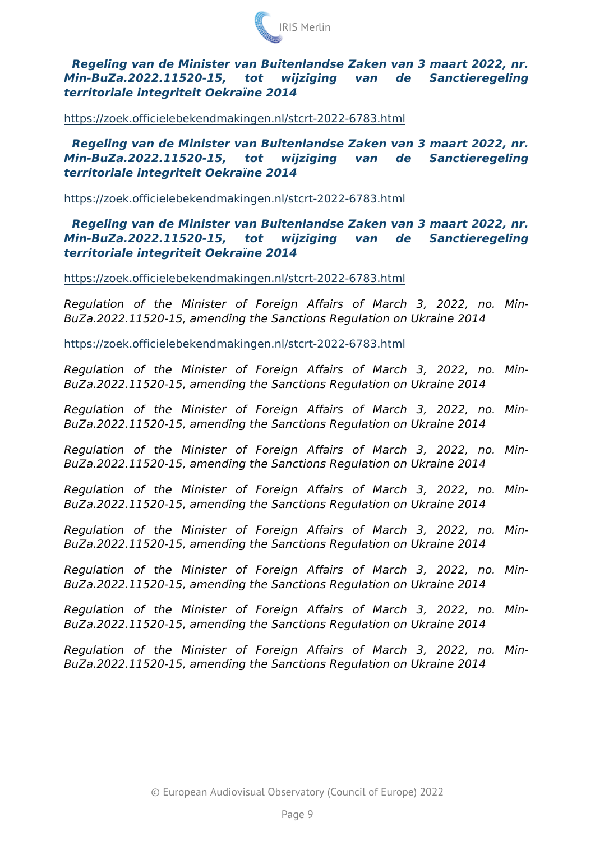Regeling van de Minister van Buitenlandse Zaken van 3 maart 20 Min-BuZa.2022.11520-15, tot wijziging van de Sa territoriale integriteit Oekraïne 2014

#### [https://zoek.officielebekendmakingen.nl/stc](https://zoek.officielebekendmakingen.nl/stcrt-2022-6783.html)rt-2022-6783.html

Regeling van de Minister van Buitenlandse Zaken van 3 maart 20 Min-BuZa.2022.11520-15, tot wijziging van de Sa territoriale integriteit Oekraïne 2014

#### [https://zoek.officielebekendmakingen.nl/stc](https://zoek.officielebekendmakingen.nl/stcrt-2022-6783.html)rt-2022-6783.html

Regeling van de Minister van Buitenlandse Zaken van 3 maart 20 Min-BuZa.2022.11520-15, tot wijziging van de Sa territoriale integriteit Oekraïne 2014

### [https://zoek.officielebekendmakingen.nl/stc](https://zoek.officielebekendmakingen.nl/stcrt-2022-6783.html)rt-2022-6783.html

Regulation of the Minister of Foreign Affairs of March BuZa.2022.11520-15, amending the Sanctions Regulation on Ukrain

#### [https://zoek.officielebekendmakingen.nl/stc](https://zoek.officielebekendmakingen.nl/stcrt-2022-6783.html)rt-2022-6783.html

Regulation of the Minister of Foreign Affairs of March BuZa.2022.11520-15, amending the Sanctions Regulation on Ukrain Regulation of the Minister of Foreign Affairs of March BuZa.2022.11520-15, amending the Sanctions Regulation on Ukrain Regulation of the Minister of Foreign Affairs of March BuZa.2022.11520-15, amending the Sanctions Regulation on Ukrain Regulation of the Minister of Foreign Affairs of March BuZa.2022.11520-15, amending the Sanctions Regulation on Ukrain Regulation of the Minister of Foreign Affairs of March BuZa.2022.11520-15, amending the Sanctions Regulation on Ukrain Regulation of the Minister of Foreign Affairs of March BuZa.2022.11520-15, amending the Sanctions Regulation on Ukrain Regulation of the Minister of Foreign Affairs of March BuZa.2022.11520-15, amending the Sanctions Regulation on Ukrain Regulation of the Minister of Foreign Affairs of March BuZa.2022.11520-15, amending the Sanctions Regulation on Ukrain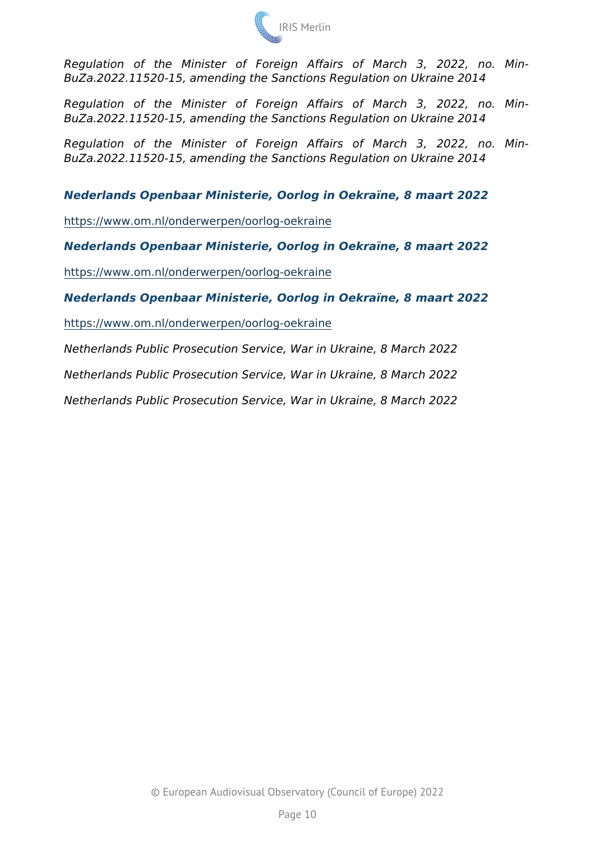Regulation of the Minister of Foreign Affairs of March BuZa.2022.11520-15, amending the Sanctions Regulation on Ukrain Regulation of the Minister of Foreign Affairs of March BuZa.2022.11520-15, amending the Sanctions Regulation on Ukrain Regulation of the Minister of Foreign Affairs of March BuZa.2022.11520-15, amending the Sanctions Regulation on Ukrain

Nederlands Openbaar Ministerie, Oorlog in Oekraïne, 8 maart 2022

[https://www.om.nl/onderwerpen/oo](https://www.om.nl/onderwerpen/oorlog-oekraine)rlog-oekraine

Nederlands Openbaar Ministerie, Oorlog in Oekraïne, 8 maart 2022

[https://www.om.nl/onderwerpen/oo](https://www.om.nl/onderwerpen/oorlog-oekraine)rlog-oekraine

Nederlands Openbaar Ministerie, Oorlog in Oekraïne, 8 maart 2022 [https://www.om.nl/onderwerpen/oo](https://www.om.nl/onderwerpen/oorlog-oekraine)rlog-oekraine

Netherlands Public Prosecution Service, War in Ukraine, 8 March 20 Netherlands Public Prosecution Service, War in Ukraine, 8 March 2 Netherlands Public Prosecution Service, War in Ukraine, 8 March 2022